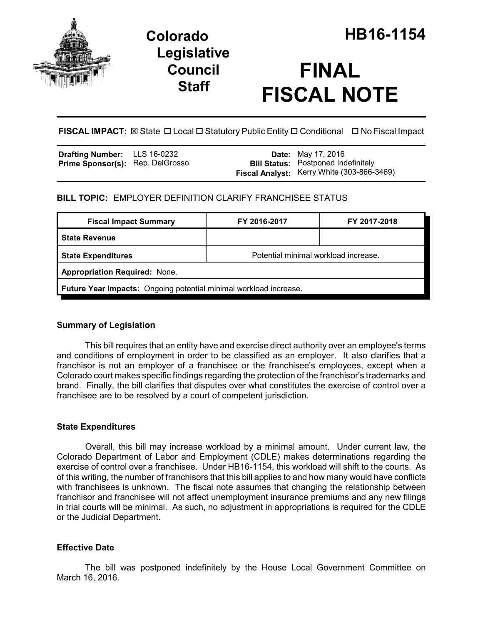

## **Legislative Council Staff**

# **FINAL FISCAL NOTE**

**FISCAL IMPACT:** ⊠ State □ Local □ Statutory Public Entity □ Conditional □ No Fiscal Impact

| <b>Drafting Number:</b>          | LLS 16-0232 |
|----------------------------------|-------------|
| Prime Sponsor(s): Rep. DelGrosso |             |

**Date:** May 17, 2016 **Bill Status:** Postponed Indefinitely **Fiscal Analyst:** Kerry White (303-866-3469)

## **BILL TOPIC:** EMPLOYER DEFINITION CLARIFY FRANCHISEE STATUS

| <b>Fiscal Impact Summary</b>                                      | FY 2016-2017                         | FY 2017-2018 |  |
|-------------------------------------------------------------------|--------------------------------------|--------------|--|
| <b>State Revenue</b>                                              |                                      |              |  |
| <b>State Expenditures</b>                                         | Potential minimal workload increase. |              |  |
| <b>Appropriation Required: None.</b>                              |                                      |              |  |
| Future Year Impacts: Ongoing potential minimal workload increase. |                                      |              |  |

#### **Summary of Legislation**

This bill requires that an entity have and exercise direct authority over an employee's terms and conditions of employment in order to be classified as an employer. It also clarifies that a franchisor is not an employer of a franchisee or the franchisee's employees, except when a Colorado court makes specific findings regarding the protection of the franchisor's trademarks and brand. Finally, the bill clarifies that disputes over what constitutes the exercise of control over a franchisee are to be resolved by a court of competent jurisdiction.

#### **State Expenditures**

Overall, this bill may increase workload by a minimal amount. Under current law, the Colorado Department of Labor and Employment (CDLE) makes determinations regarding the exercise of control over a franchisee. Under HB16-1154, this workload will shift to the courts. As of this writing, the number of franchisors that this bill applies to and how many would have conflicts with franchisees is unknown. The fiscal note assumes that changing the relationship between franchisor and franchisee will not affect unemployment insurance premiums and any new filings in trial courts will be minimal. As such, no adjustment in appropriations is required for the CDLE or the Judicial Department.

### **Effective Date**

The bill was postponed indefinitely by the House Local Government Committee on March 16, 2016.